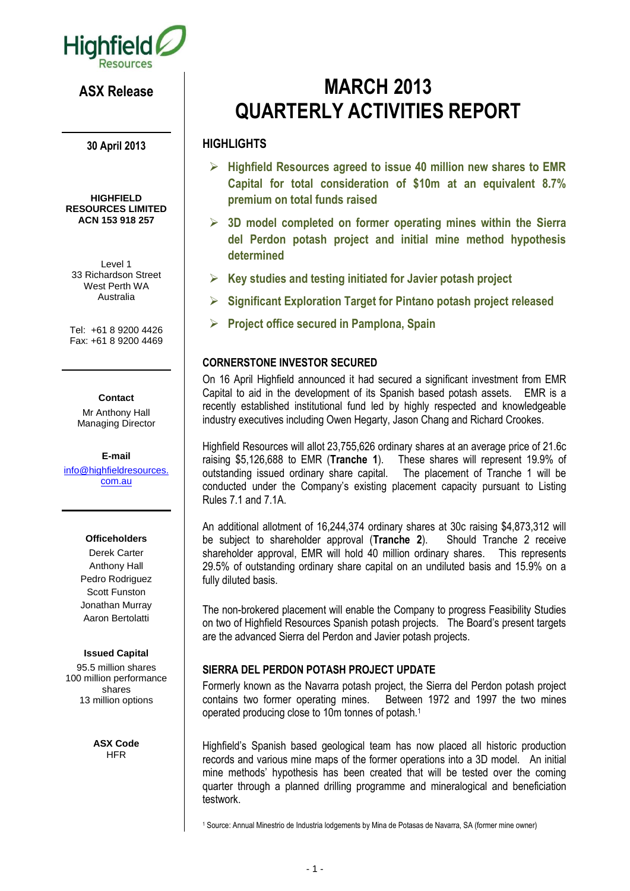

## **ASX Release**

**30 April 2013**

**HIGHFIELD RESOURCES LIMITED ACN 153 918 257**

Level 1 33 Richardson Street West Perth WA Australia

Tel: +61 8 9200 4426 Fax: +61 8 9200 4469

#### **Contact**

Mr Anthony Hall Managing Director

#### **E-mail**

[info@highfieldresources.](mailto:info@highfieldresources.com.au) [com.au](mailto:info@highfieldresources.com.au)

#### **Officeholders**

Derek Carter Anthony Hall Pedro Rodriguez Scott Funston Jonathan Murray Aaron Bertolatti

#### **Issued Capital**

95.5 million shares 100 million performance shares 13 million options

> **ASX Code HFR**

# **MARCH 2013 QUARTERLY ACTIVITIES REPORT**

## **HIGHLIGHTS**

- **Highfield Resources agreed to issue 40 million new shares to EMR Capital for total consideration of \$10m at an equivalent 8.7% premium on total funds raised**
- **3D model completed on former operating mines within the Sierra del Perdon potash project and initial mine method hypothesis determined**
- **Key studies and testing initiated for Javier potash project**
- **Significant Exploration Target for Pintano potash project released**
- **Project office secured in Pamplona, Spain**

## **CORNERSTONE INVESTOR SECURED**

On 16 April Highfield announced it had secured a significant investment from EMR Capital to aid in the development of its Spanish based potash assets. EMR is a recently established institutional fund led by highly respected and knowledgeable industry executives including Owen Hegarty, Jason Chang and Richard Crookes.

Highfield Resources will allot 23,755,626 ordinary shares at an average price of 21.6c raising \$5,126,688 to EMR (**Tranche 1**). These shares will represent 19.9% of outstanding issued ordinary share capital. The placement of Tranche 1 will be conducted under the Company's existing placement capacity pursuant to Listing Rules 7.1 and 7.1A.

An additional allotment of 16,244,374 ordinary shares at 30c raising \$4,873,312 will be subject to shareholder approval (**Tranche 2**). Should Tranche 2 receive shareholder approval, EMR will hold 40 million ordinary shares. This represents 29.5% of outstanding ordinary share capital on an undiluted basis and 15.9% on a fully diluted basis.

The non-brokered placement will enable the Company to progress Feasibility Studies on two of Highfield Resources Spanish potash projects. The Board's present targets are the advanced Sierra del Perdon and Javier potash projects.

## **SIERRA DEL PERDON POTASH PROJECT UPDATE**

Formerly known as the Navarra potash project, the Sierra del Perdon potash project contains two former operating mines. Between 1972 and 1997 the two mines operated producing close to 10m tonnes of potash.<sup>1</sup>

Highfield's Spanish based geological team has now placed all historic production records and various mine maps of the former operations into a 3D model. An initial mine methods' hypothesis has been created that will be tested over the coming quarter through a planned drilling programme and mineralogical and beneficiation testwork.

<sup>1</sup> Source: Annual Minestrio de Industria lodgements by Mina de Potasas de Navarra, SA (former mine owner)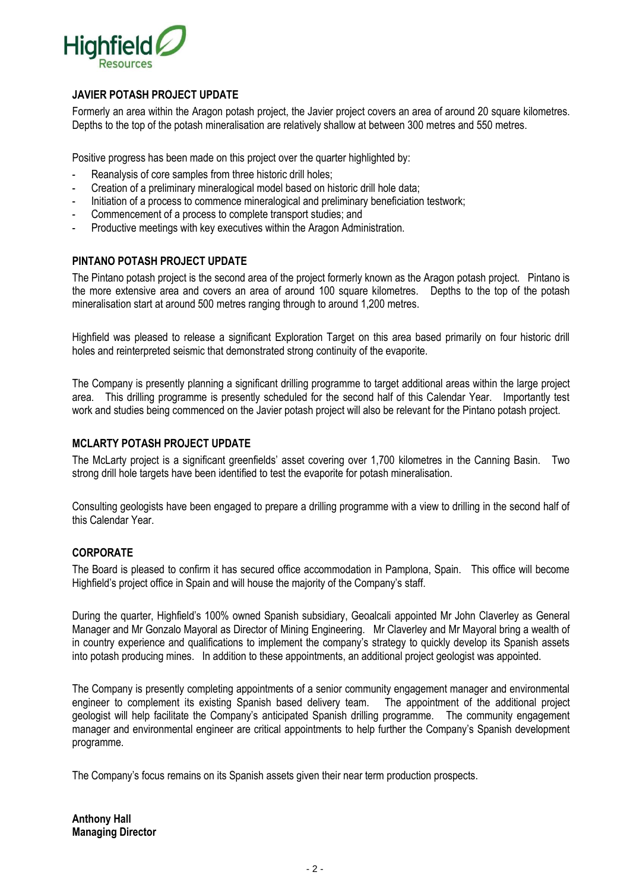

## **JAVIER POTASH PROJECT UPDATE**

Formerly an area within the Aragon potash project, the Javier project covers an area of around 20 square kilometres. Depths to the top of the potash mineralisation are relatively shallow at between 300 metres and 550 metres.

Positive progress has been made on this project over the quarter highlighted by:

- Reanalysis of core samples from three historic drill holes;
- Creation of a preliminary mineralogical model based on historic drill hole data;
- Initiation of a process to commence mineralogical and preliminary beneficiation testwork;
- Commencement of a process to complete transport studies; and
- Productive meetings with key executives within the Aragon Administration.

## **PINTANO POTASH PROJECT UPDATE**

The Pintano potash project is the second area of the project formerly known as the Aragon potash project. Pintano is the more extensive area and covers an area of around 100 square kilometres. Depths to the top of the potash mineralisation start at around 500 metres ranging through to around 1,200 metres.

Highfield was pleased to release a significant Exploration Target on this area based primarily on four historic drill holes and reinterpreted seismic that demonstrated strong continuity of the evaporite.

The Company is presently planning a significant drilling programme to target additional areas within the large project area. This drilling programme is presently scheduled for the second half of this Calendar Year. Importantly test work and studies being commenced on the Javier potash project will also be relevant for the Pintano potash project.

#### **MCLARTY POTASH PROJECT UPDATE**

The McLarty project is a significant greenfields' asset covering over 1,700 kilometres in the Canning Basin. Two strong drill hole targets have been identified to test the evaporite for potash mineralisation.

Consulting geologists have been engaged to prepare a drilling programme with a view to drilling in the second half of this Calendar Year.

#### **CORPORATE**

The Board is pleased to confirm it has secured office accommodation in Pamplona, Spain. This office will become Highfield's project office in Spain and will house the majority of the Company's staff.

During the quarter, Highfield's 100% owned Spanish subsidiary, Geoalcali appointed Mr John Claverley as General Manager and Mr Gonzalo Mayoral as Director of Mining Engineering. Mr Claverley and Mr Mayoral bring a wealth of in country experience and qualifications to implement the company's strategy to quickly develop its Spanish assets into potash producing mines. In addition to these appointments, an additional project geologist was appointed.

The Company is presently completing appointments of a senior community engagement manager and environmental engineer to complement its existing Spanish based delivery team. The appointment of the additional project geologist will help facilitate the Company's anticipated Spanish drilling programme. The community engagement manager and environmental engineer are critical appointments to help further the Company's Spanish development programme.

The Company's focus remains on its Spanish assets given their near term production prospects.

**Anthony Hall Managing Director**